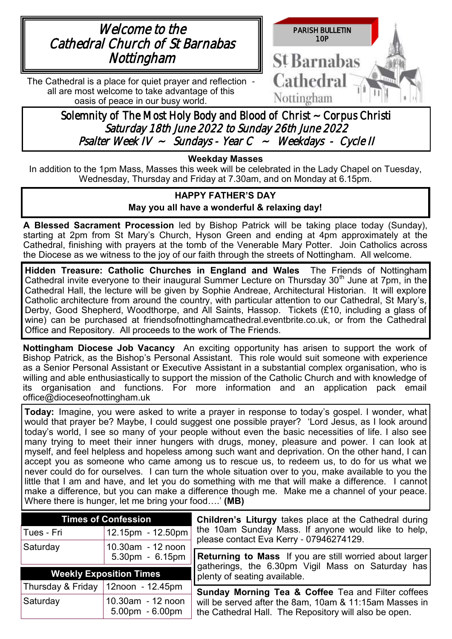



The Cathedral is a place for quiet prayer and reflection all are most welcome to take advantage of this oasis of peace in our busy world.

> Solemnity of The Most Holy Body and Blood of Christ ~ Corpus Christi Saturday 18th June 2022 to Sunday 26th June 2022 Psalter Week IV ~ Sundays - Year C ~ Weekdays - Cycle II

### **Weekday Masses**

In addition to the 1pm Mass, Masses this week will be celebrated in the Lady Chapel on Tuesday, Wednesday, Thursday and Friday at 7.30am, and on Monday at 6.15pm.

## **HAPPY FATHER'S DAY May you all have a wonderful & relaxing day!**

**A Blessed Sacrament Procession** led by Bishop Patrick will be taking place today (Sunday), starting at 2pm from St Mary's Church, Hyson Green and ending at 4pm approximately at the Cathedral, finishing with prayers at the tomb of the Venerable Mary Potter. Join Catholics across the Diocese as we witness to the joy of our faith through the streets of Nottingham. All welcome.

**Hidden Treasure: Catholic Churches in England and Wales** The Friends of Nottingham Cathedral invite everyone to their inaugural Summer Lecture on Thursday  $30<sup>th</sup>$  June at 7pm, in the Cathedral Hall, the lecture will be given by Sophie Andreae, Architectural Historian. It will explore Catholic architecture from around the country, with particular attention to our Cathedral, St Mary's, Derby, Good Shepherd, Woodthorpe, and All Saints, Hassop. Tickets (£10, including a glass of wine) can be purchased at friendsofnottinghamcathedral.eventbrite.co.uk, or from the Cathedral Office and Repository. All proceeds to the work of The Friends.

**Nottingham Diocese Job Vacancy** An exciting opportunity has arisen to support the work of Bishop Patrick, as the Bishop's Personal Assistant. This role would suit someone with experience as a Senior Personal Assistant or Executive Assistant in a substantial complex organisation, who is willing and able enthusiastically to support the mission of the Catholic Church and with knowledge of its organisation and functions. For more information and an application pack email office@dioceseofnottingham.uk

**Today:** Imagine, you were asked to write a prayer in response to today's gospel. I wonder, what would that prayer be? Maybe, I could suggest one possible prayer? 'Lord Jesus, as I look around today's world, I see so many of your people without even the basic necessities of life. I also see many trying to meet their inner hungers with drugs, money, pleasure and power. I can look at myself, and feel helpless and hopeless among such want and deprivation. On the other hand, I can accept you as someone who came among us to rescue us, to redeem us, to do for us what we never could do for ourselves. I can turn the whole situation over to you, make available to you the little that I am and have, and let you do something with me that will make a difference. I cannot make a difference, but you can make a difference though me. Make me a channel of your peace. Where there is hunger, let me bring your food….' **(MB)** 

| <b>Times of Confession</b>     |                                        | <b>Children's Liturgy takes place at the Cathedral during</b>                                                   |  |
|--------------------------------|----------------------------------------|-----------------------------------------------------------------------------------------------------------------|--|
| Tues - Fri                     | $12.15$ pm - 12.50pm                   | the 10am Sunday Mass. If anyone would like to help,<br>please contact Eva Kerry - 07946274129.                  |  |
| Saturday                       | 10.30am - 12 noon                      |                                                                                                                 |  |
|                                | 5.30pm - 6.15pm                        | <b>Returning to Mass</b> If you are still worried about larger                                                  |  |
| <b>Weekly Exposition Times</b> |                                        | gatherings, the 6.30pm Vigil Mass on Saturday has<br>plenty of seating available.                               |  |
|                                | Thursday & Friday   12noon - 12.45pm   | <b>Sunday Morning Tea &amp; Coffee Tea and Filter coffees</b>                                                   |  |
| Saturday                       | 10.30am - 12 noon<br>$5.00pm - 6.00pm$ | will be served after the 8am, 10am & 11:15am Masses in<br>the Cathedral Hall. The Repository will also be open. |  |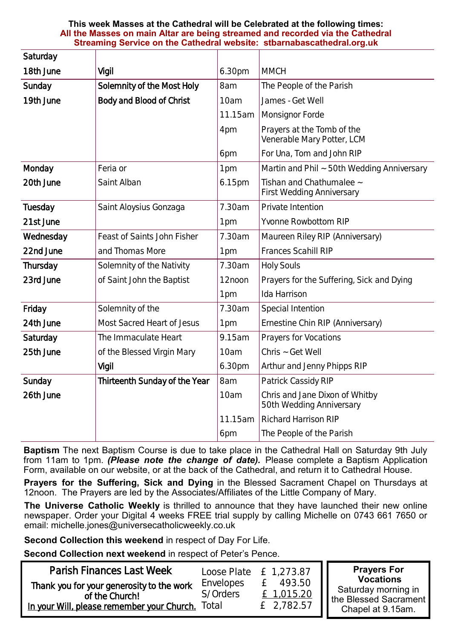#### **This week Masses at the Cathedral will be Celebrated at the following times: All the Masses on main Altar are being streamed and recorded via the Cathedral Streaming Service on the Cathedral website: stbarnabascathedral.org.uk**

| Saturday  |                               |         |                                                              |  |
|-----------|-------------------------------|---------|--------------------------------------------------------------|--|
| 18th June | Vigil                         | 6.30pm  | <b>MMCH</b>                                                  |  |
| Sunday    | Solemnity of the Most Holy    | 8am     | The People of the Parish                                     |  |
| 19th June | Body and Blood of Christ      | 10am    | James - Get Well                                             |  |
|           |                               | 11.15am | Monsignor Forde                                              |  |
|           |                               | 4pm     | Prayers at the Tomb of the<br>Venerable Mary Potter, LCM     |  |
|           |                               | 6pm     | For Una, Tom and John RIP                                    |  |
| Monday    | Feria or                      | 1pm     | Martin and Phil ~ 50th Wedding Anniversary                   |  |
| 20th June | Saint Alban                   | 6.15pm  | Tishan and Chathumalee ~<br><b>First Wedding Anniversary</b> |  |
| Tuesday   | Saint Aloysius Gonzaga        | 7.30am  | Private Intention                                            |  |
| 21st June |                               | 1pm     | Yvonne Rowbottom RIP                                         |  |
| Wednesday | Feast of Saints John Fisher   | 7.30am  | Maureen Riley RIP (Anniversary)                              |  |
| 22nd June | and Thomas More               | 1pm     | Frances Scahill RIP                                          |  |
| Thursday  | Solemnity of the Nativity     | 7.30am  | <b>Holy Souls</b>                                            |  |
| 23rd June | of Saint John the Baptist     | 12noon  | Prayers for the Suffering, Sick and Dying                    |  |
|           |                               | 1pm     | Ida Harrison                                                 |  |
| Friday    | Solemnity of the              | 7.30am  | Special Intention                                            |  |
| 24th June | Most Sacred Heart of Jesus    | 1pm     | Ernestine Chin RIP (Anniversary)                             |  |
| Saturday  | The Immaculate Heart          | 9.15am  | Prayers for Vocations                                        |  |
| 25th June | of the Blessed Virgin Mary    | 10am    | Chris ~ Get Well                                             |  |
|           | Vigil                         | 6.30pm  | Arthur and Jenny Phipps RIP                                  |  |
| Sunday    | Thirteenth Sunday of the Year | 8am     | Patrick Cassidy RIP                                          |  |
| 26th June |                               | 10am    | Chris and Jane Dixon of Whitby<br>50th Wedding Anniversary   |  |
|           |                               | 11.15am | <b>Richard Harrison RIP</b>                                  |  |
|           |                               | 6pm     | The People of the Parish                                     |  |

**Baptism** The next Baptism Course is due to take place in the Cathedral Hall on Saturday 9th July from 11am to 1pm. *(Please note the change of date).* Please complete a Baptism Application Form, available on our website, or at the back of the Cathedral, and return it to Cathedral House.

**Prayers for the Suffering, Sick and Dying** in the Blessed Sacrament Chapel on Thursdays at 12noon. The Prayers are led by the Associates/Affiliates of the Little Company of Mary.

**The Universe Catholic Weekly** is thrilled to announce that they have launched their new online newspaper. Order your Digital 4 weeks FREE trial supply by calling Michelle on 0743 661 7650 or email: [michelle.jones@universecatholicweekly.co.uk](mailto:michelle.jones@universecatholicweekly.co.uk)

**Second Collection this weekend** in respect of Day For Life.

**Second Collection next weekend** in respect of Peter's Pence.

| Parish Finances Last Week                                                                                 |                                | Loose Plate $E$ 1,273.87           | <b>Prayers For</b><br><b>Vocations</b>                            |
|-----------------------------------------------------------------------------------------------------------|--------------------------------|------------------------------------|-------------------------------------------------------------------|
| Thank you for your generosity to the work<br>of the Church!<br>In your Will, please remember your Church. | Envelopes<br>S/Orders<br>Total | 493.50<br>£ 1,015.20<br>£ 2,782.57 | Saturday morning in<br>the Blessed Sacrament<br>Chapel at 9.15am. |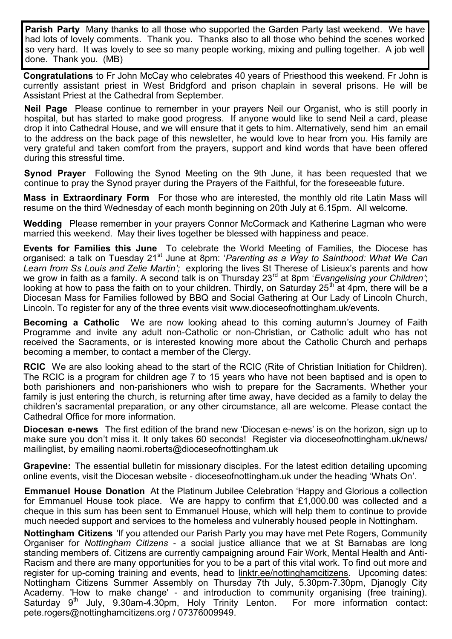**Parish Party** Many thanks to all those who supported the Garden Party last weekend. We have had lots of lovely comments. Thank you. Thanks also to all those who behind the scenes worked so very hard. It was lovely to see so many people working, mixing and pulling together. A job well done. Thank you. (MB)

**Congratulations** to Fr John McCay who celebrates 40 years of Priesthood this weekend. Fr John is currently assistant priest in West Bridgford and prison chaplain in several prisons. He will be Assistant Priest at the Cathedral from September.

**Neil Page** Please continue to remember in your prayers Neil our Organist, who is still poorly in hospital, but has started to make good progress. If anyone would like to send Neil a card, please drop it into Cathedral House, and we will ensure that it gets to him. Alternatively, send him an email to the address on the back page of this newsletter, he would love to hear from you. His family are very grateful and taken comfort from the prayers, support and kind words that have been offered during this stressful time.

**Synod Prayer** Following the Synod Meeting on the 9th June, it has been requested that we continue to pray the Synod prayer during the Prayers of the Faithful, for the foreseeable future.

**Mass in Extraordinary Form** For those who are interested, the monthly old rite Latin Mass will resume on the third Wednesday of each month beginning on 20th July at 6.15pm. All welcome.

**Wedding** Please remember in your prayers Connor McCormack and Katherine Lagman who were married this weekend. May their lives together be blessed with happiness and peace.

**Events for Families this June** To celebrate the World Meeting of Families, the Diocese has organised: a talk on Tuesday 21<sup>st</sup> June at 8pm: 'Parenting as a Way to Sainthood: What We Can *Learn from Ss Louis and Zelie Martin';* exploring the lives St Therese of Lisieux's parents and how we grow in faith as a family. A second talk is on Thursday 23rd at 8pm '*Evangelising your Children'*; looking at how to pass the faith on to your children. Thirdly, on Saturday 25<sup>th</sup> at 4pm, there will be a Diocesan Mass for Families followed by BBQ and Social Gathering at Our Lady of Lincoln Church, Lincoln. To register for any of the three events visit www.dioceseofnottingham.uk/events.

**Becoming a Catholic** We are now looking ahead to this coming autumn's Journey of Faith Programme and invite any adult non-Catholic or non-Christian, or Catholic adult who has not received the Sacraments, or is interested knowing more about the Catholic Church and perhaps becoming a member, to contact a member of the Clergy.

**RCIC** We are also looking ahead to the start of the RCIC (Rite of Christian Initiation for Children). The RCIC is a program for children age 7 to 15 years who have not been baptised and is open to both parishioners and non-parishioners who wish to prepare for the Sacraments. Whether your family is just entering the church, is returning after time away, have decided as a family to delay the children's sacramental preparation, or any other circumstance, all are welcome. Please contact the Cathedral Office for more information.

**Diocesan e-news** The first edition of the brand new 'Diocesan e-news' is on the horizon, sign up to make sure you don't miss it. It only takes 60 seconds! Register via dioceseofnottingham.uk/news/ mailinglist, by emailing naomi.roberts@dioceseofnottingham.uk

**Grapevine:** The essential bulletin for missionary disciples. For the latest edition detailing upcoming online events, visit the Diocesan website - dioceseofnottingham.uk under the heading 'Whats On'.

**Emmanuel House Donation** At the Platinum Jubilee Celebration 'Happy and Glorious a collection for Emmanuel House took place. We are happy to confirm that  $£1,000.00$  was collected and a cheque in this sum has been sent to Emmanuel House, which will help them to continue to provide much needed support and services to the homeless and vulnerably housed people in Nottingham.

**Nottingham Citizens** 'If you attended our Parish Party you may have met Pete Rogers, Community Organiser for *Nottingham Citizens* - a social justice alliance that we at St Barnabas are long standing members of. Citizens are currently campaigning around Fair Work, Mental Health and Anti-Racism and there are many opportunities for you to be a part of this vital work. To find out more and register for up-coming training and events, head to [linktr.ee/nottinghamcitizens.](http://linktr.ee/nottinghamcitizens) Upcoming dates: Nottingham Citizens Summer Assembly on Thursday 7th July, 5.30pm-7.30pm, Djanogly City Academy. 'How to make change' - and introduction to community organising (free training). Saturday  $9<sup>th</sup>$  July, 9.30am-4.30pm, Holy Trinity Lenton. For more information contact: [pete.rogers@nottinghamcitizens.org](mailto:pete.rogers@nottinghamcitizens.org) / 07376009949.